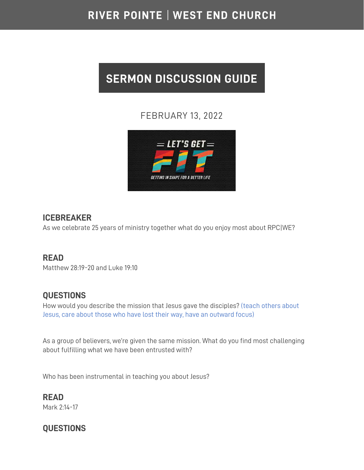## RIVER POINTE | WEST END CHURCH

# **SERMON DISCUSSION GUIDE**

### FEBRUARY 13, 2022



#### **ICEBREAKER**

As we celebrate 25 years of ministry together what do you enjoy most about RPC|WE?

#### **READ**

Matthew 28:19-20 and Luke 19:10

#### **QUESTIONS**

How would you describe the mission that Jesus gave the disciples? (teach others about Jesus, care about those who have lost their way, have an outward focus)

As a group of believers, we're given the same mission. What do you find most challenging about fulfilling what we have been entrusted with?

Who has been instrumental in teaching you about Jesus?

**READ**  Mark 2:14-17

## **QUESTIONS**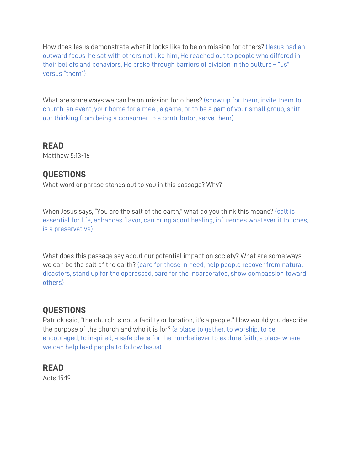How does Jesus demonstrate what it looks like to be on mission for others? (Jesus had an outward focus, he sat with others not like him, He reached out to people who differed in their beliefs and behaviors, He broke through barriers of division in the culture – "us" versus "them")

What are some ways we can be on mission for others? (show up for them, invite them to church, an event, your home for a meal, a game, or to be a part of your small group, shift our thinking from being a consumer to a contributor, serve them)

**READ** 

Matthew 5:13-16

#### **QUESTIONS**

What word or phrase stands out to you in this passage? Why?

When Jesus says, "You are the salt of the earth," what do you think this means? (salt is essential for life, enhances flavor, can bring about healing, influences whatever it touches, is a preservative)

What does this passage say about our potential impact on society? What are some ways we can be the salt of the earth? (care for those in need, help people recover from natural disasters, stand up for the oppressed, care for the incarcerated, show compassion toward others)

#### **QUESTIONS**

Patrick said, "the church is not a facility or location, it's a people." How would you describe the purpose of the church and who it is for? (a place to gather, to worship, to be encouraged, to inspired, a safe place for the non-believer to explore faith, a place where we can help lead people to follow Jesus)

#### **READ**

Acts 15:19